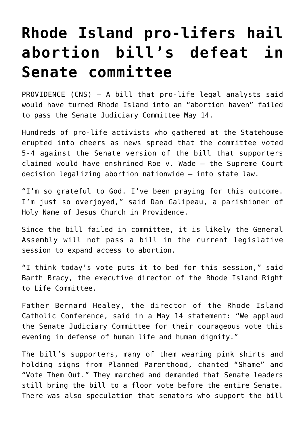## **[Rhode Island pro-lifers hail](https://www.osvnews.com/2019/05/17/rhode-island-pro-lifers-hail-abortion-bills-defeat-in-senate-committee/) [abortion bill's defeat in](https://www.osvnews.com/2019/05/17/rhode-island-pro-lifers-hail-abortion-bills-defeat-in-senate-committee/) [Senate committee](https://www.osvnews.com/2019/05/17/rhode-island-pro-lifers-hail-abortion-bills-defeat-in-senate-committee/)**

PROVIDENCE (CNS) — A bill that pro-life legal analysts said would have turned Rhode Island into an "abortion haven" failed to pass the Senate Judiciary Committee May 14.

Hundreds of pro-life activists who gathered at the Statehouse erupted into cheers as news spread that the committee voted 5-4 against the Senate version of the bill that supporters claimed would have enshrined Roe v. Wade — the Supreme Court decision legalizing abortion nationwide — into state law.

"I'm so grateful to God. I've been praying for this outcome. I'm just so overjoyed," said Dan Galipeau, a parishioner of Holy Name of Jesus Church in Providence.

Since the bill failed in committee, it is likely the General Assembly will not pass a bill in the current legislative session to expand access to abortion.

"I think today's vote puts it to bed for this session," said Barth Bracy, the executive director of the Rhode Island Right to Life Committee.

Father Bernard Healey, the director of the Rhode Island Catholic Conference, said in a May 14 statement: "We applaud the Senate Judiciary Committee for their courageous vote this evening in defense of human life and human dignity."

The bill's supporters, many of them wearing pink shirts and holding signs from Planned Parenthood, chanted "Shame" and "Vote Them Out." They marched and demanded that Senate leaders still bring the bill to a floor vote before the entire Senate. There was also speculation that senators who support the bill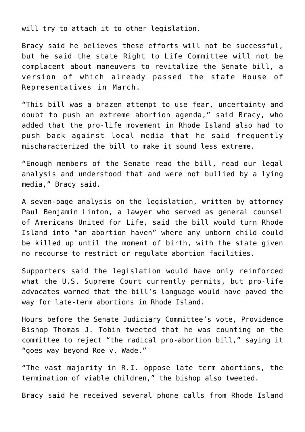will try to attach it to other legislation.

Bracy said he believes these efforts will not be successful, but he said the state Right to Life Committee will not be complacent about maneuvers to revitalize the Senate bill, a version of which already passed the state House of Representatives in March.

"This bill was a brazen attempt to use fear, uncertainty and doubt to push an extreme abortion agenda," said Bracy, who added that the pro-life movement in Rhode Island also had to push back against local media that he said frequently mischaracterized the bill to make it sound less extreme.

"Enough members of the Senate read the bill, read our legal analysis and understood that and were not bullied by a lying media," Bracy said.

A seven-page analysis on the legislation, written by attorney Paul Benjamin Linton, a lawyer who served as general counsel of Americans United for Life, said the bill would turn Rhode Island into "an abortion haven" where any unborn child could be killed up until the moment of birth, with the state given no recourse to restrict or regulate abortion facilities.

Supporters said the legislation would have only reinforced what the U.S. Supreme Court currently permits, but pro-life advocates warned that the bill's language would have paved the way for late-term abortions in Rhode Island.

Hours before the Senate Judiciary Committee's vote, Providence Bishop Thomas J. Tobin tweeted that he was counting on the committee to reject "the radical pro-abortion bill," saying it "goes way beyond Roe v. Wade."

"The vast majority in R.I. oppose late term abortions, the termination of viable children," the bishop also tweeted.

Bracy said he received several phone calls from Rhode Island